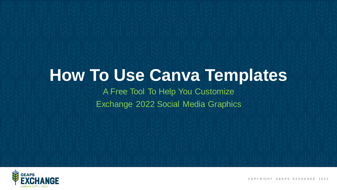## **How To Use Canva Templates**

#### A Free Tool To Help You Customize Exchange 2022 Social Media Graphics



COPY RIGHT GEAPS EXCHANGE 2022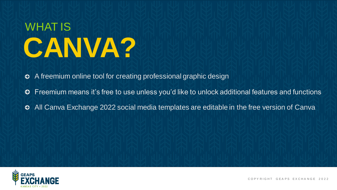# WHAT IS **CANVA?**

A freemium online tool for creating professional graphic design ໑

- Freemium means it's free to use unless you'd like to unlock additional features and functions €
- All Canva Exchange 2022 social media templates are editable in the free version of Canva €

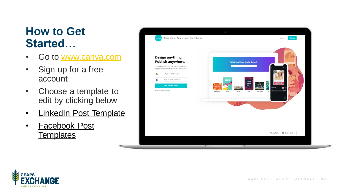#### **How to Get Started…**

- Go to [www.canva.com](http://www.canva.com/)
- Sign up for a free account
- Choose a template to edit by clicking below
- [LinkedIn Post Template](https://www.canva.com/design/DAEwqINJs34/OjW0P9J6-AzxsX8LxJdcRQ/view?utm_content=DAEwqINJs34&utm_campaign=designshare&utm_medium=link&utm_source=sharebutton&mode=preview)
- [Facebook Post](https://www.canva.com/design/DAE3_ZbF9d4/7on1ljak3qCzn7rrrcwJEw/view?utm_content=DAE3_ZbF9d4&utm_campaign=designshare&utm_medium=link&utm_source=sharebutton&mode=preview)  **Templates**



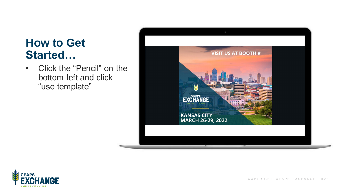#### **How to Get Started…**

• Click the "Pencil" on the bottom left and click "use template"





COPYRIGHT GEAPS EXCHANGE 2022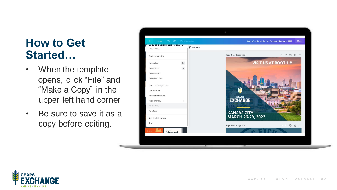#### **How to Get Started…**

- When the template opens, click "File" and "Make a Copy" in the upper left hand corner
- Be sure to save it as a copy before editing.



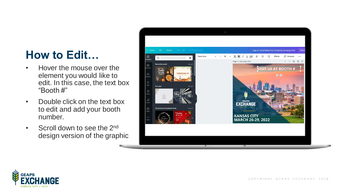### **How to Edit…**

- Hover the mouse over the element you would like to edit. In this case, the text box "Booth #"
- Double click on the text box to edit and add your booth number.
- Scroll down to see the 2<sup>nd</sup> design version of the graphic